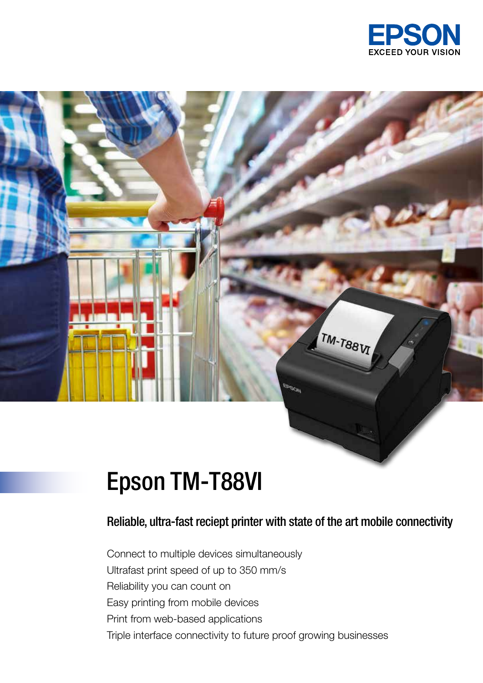

# Epson TM-T88VI

## Reliable, ultra-fast reciept printer with state of the art mobile connectivity

TM-T88VI

Connect to multiple devices simultaneously Ultrafast print speed of up to 350 mm/s Reliability you can count on Easy printing from mobile devices Print from web-based applications Triple interface connectivity to future proof growing businesses